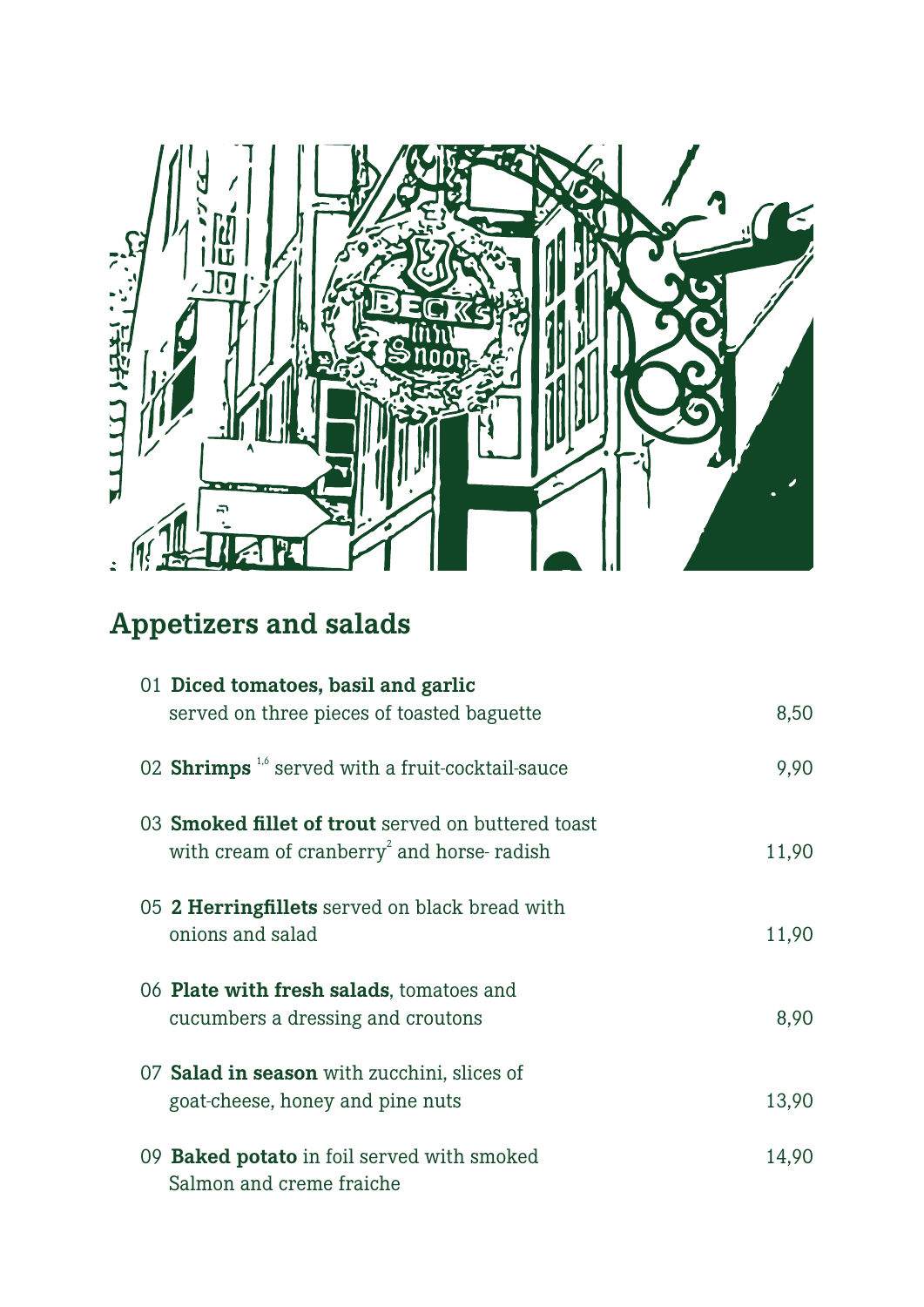

# **Appetizers and salads**

| 01 Diced tomatoes, basil and garlic                          |       |
|--------------------------------------------------------------|-------|
| served on three pieces of toasted baguette                   | 8,50  |
| 02 Shrimps <sup>1,6</sup> served with a fruit-cocktail-sauce | 9,90  |
| 03 <b>Smoked fillet of trout</b> served on buttered toast    |       |
| with cream of cranberry <sup>2</sup> and horse-radish        | 11,90 |
| 05 2 Herringfillets served on black bread with               |       |
| onions and salad                                             | 11,90 |
|                                                              |       |
| 06 Plate with fresh salads, tomatoes and                     |       |
| cucumbers a dressing and croutons                            | 8,90  |
|                                                              |       |
| 07 Salad in season with zucchini, slices of                  |       |
| goat-cheese, honey and pine nuts                             | 13,90 |
|                                                              |       |
| 09 <b>Baked potato</b> in foil served with smoked            | 14,90 |
| Salmon and creme fraiche                                     |       |
|                                                              |       |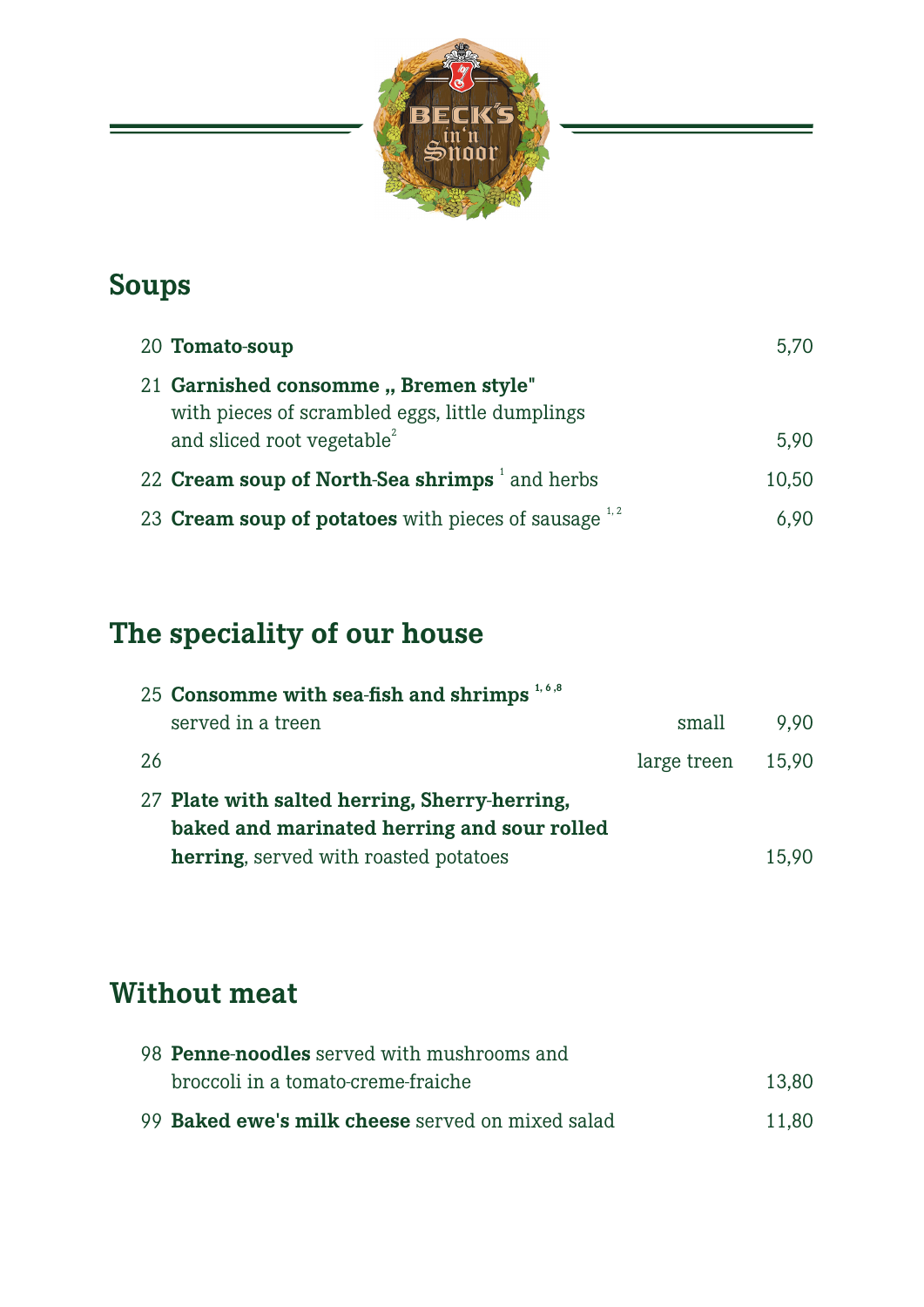

#### **Soups**

| 20 Tomato-soup                                                                          | 5,70  |
|-----------------------------------------------------------------------------------------|-------|
| 21 Garnished consomme, Bremen style"<br>with pieces of scrambled eggs, little dumplings |       |
| and sliced root vegetable <sup>2</sup>                                                  | 5.90  |
| 22 Cream soup of North-Sea shrimps <sup>1</sup> and herbs                               | 10,50 |
| 23 Cream soup of potatoes with pieces of sausage $1/2$                                  | 6.90  |

## **The speciality of our house**

| 25 Consomme with sea-fish and shrimps $1,6,8$ |                   |       |
|-----------------------------------------------|-------------------|-------|
| served in a treen                             | small             | 9.90  |
| -26                                           | large treen 15,90 |       |
| 27 Plate with salted herring, Sherry-herring, |                   |       |
| baked and marinated herring and sour rolled   |                   |       |
| <b>herring</b> , served with roasted potatoes |                   | 15,90 |

#### **Without meat**

| 98 <b>Penne-noodles</b> served with mushrooms and |       |
|---------------------------------------------------|-------|
| broccoli in a tomato-creme-fraiche                | 13.80 |
| 99 Baked ewe's milk cheese served on mixed salad  | 11.80 |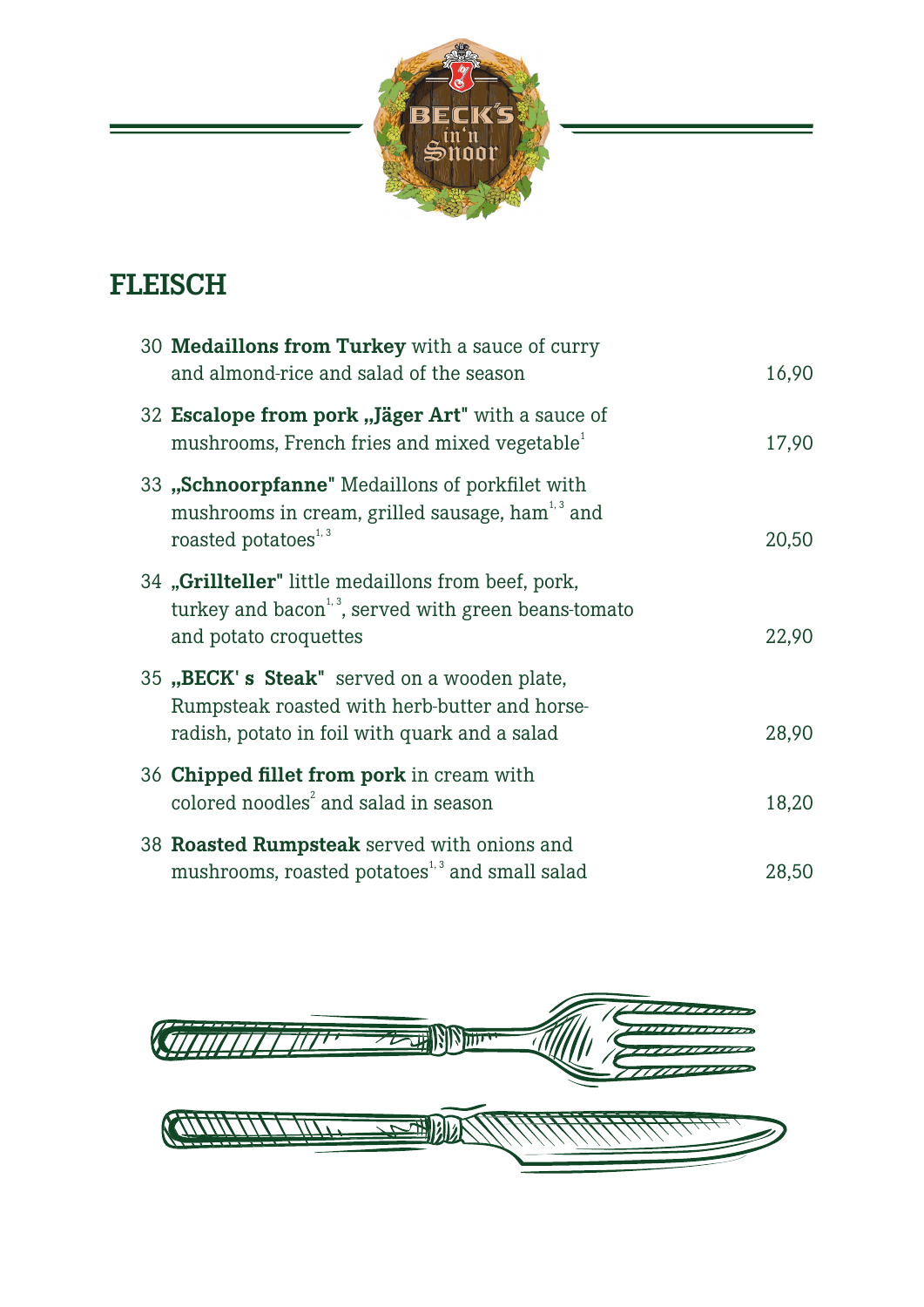

## **FLEISCH**

| 30 Medaillons from Turkey with a sauce of curry<br>and almond-rice and salad of the season                                                        | 16,90 |
|---------------------------------------------------------------------------------------------------------------------------------------------------|-------|
| 32 Escalope from pork "Jäger Art" with a sauce of<br>mushrooms, French fries and mixed vegetable <sup>1</sup>                                     | 17,90 |
| 33 "Schnoorpfanne" Medaillons of porkfilet with<br>mushrooms in cream, grilled sausage, ham <sup>1,3</sup> and<br>roasted potatoes <sup>1,3</sup> | 20,50 |
| 34 "Grillteller" little medaillons from beef, pork,<br>turkey and bacon <sup>1,3</sup> , served with green beans-tomato<br>and potato croquettes  | 22,90 |
| 35 "BECK's Steak" served on a wooden plate,<br>Rumpsteak roasted with herb-butter and horse-<br>radish, potato in foil with quark and a salad     | 28,90 |
| 36 Chipped fillet from pork in cream with<br>colored noodles <sup>2</sup> and salad in season                                                     | 18,20 |
| 38 Roasted Rumpsteak served with onions and<br>mushrooms, roasted potatoes <sup>1,3</sup> and small salad                                         | 28,50 |

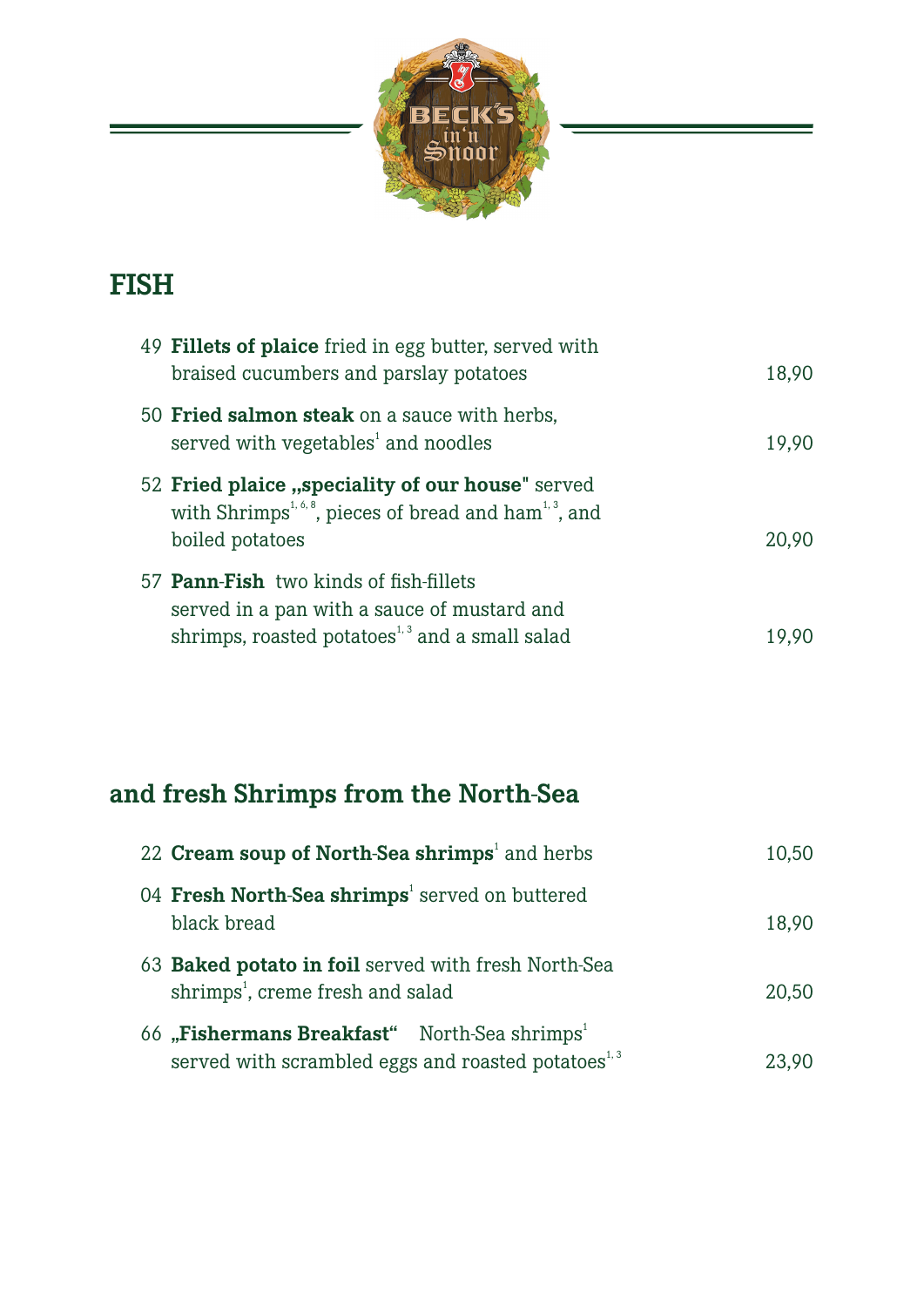

#### **FISH**

| 49 Fillets of plaice fried in egg butter, served with<br>braised cucumbers and parslay potatoes                                                                         | 18,90 |
|-------------------------------------------------------------------------------------------------------------------------------------------------------------------------|-------|
| 50 Fried salmon steak on a sauce with herbs,<br>served with vegetables <sup>1</sup> and noodles                                                                         | 19,90 |
| 52 Fried plaice "speciality of our house" served<br>with Shrimps <sup>1,6,8</sup> , pieces of bread and ham <sup>1,3</sup> , and<br>boiled potatoes                     | 20.90 |
| 57 <b>Pann-Fish</b> two kinds of fish-fillets<br>served in a pan with a sauce of mustard and<br>shrimps, roasted potatoes <sup><math>1,3</math></sup> and a small salad | 19.90 |

## **and fresh Shrimps from the North-Sea**

| 22 Cream soup of North-Sea shrimps <sup>1</sup> and herbs                                                                               | 10,50 |
|-----------------------------------------------------------------------------------------------------------------------------------------|-------|
| 04 Fresh North-Sea shrimps <sup>1</sup> served on buttered<br>black bread                                                               | 18,90 |
| 63 Baked potato in foil served with fresh North-Sea<br>shrimps <sup>1</sup> , creme fresh and salad                                     | 20,50 |
| 66 "Fishermans Breakfast" North-Sea shrimps <sup>1</sup><br>served with scrambled eggs and roasted potatoes <sup><math>1,3</math></sup> | 23.90 |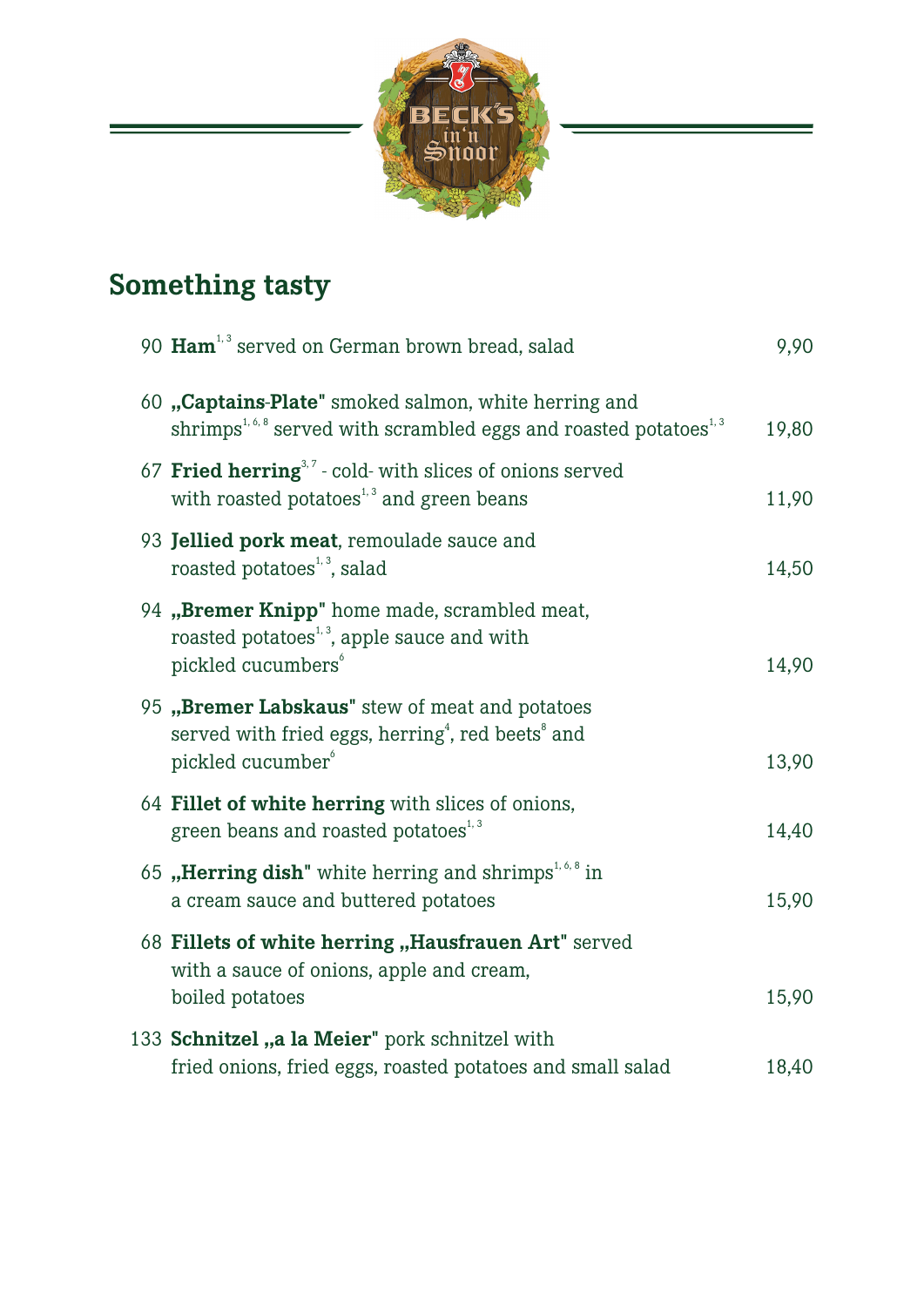

## **Something tasty**

| 90 Ham <sup>1,3</sup> served on German brown bread, salad                                                                                                  | 9,90  |
|------------------------------------------------------------------------------------------------------------------------------------------------------------|-------|
| 60 "Captains-Plate" smoked salmon, white herring and<br>shrimps <sup>1,6,8</sup> served with scrambled eggs and roasted potatoes <sup>1,3</sup>            | 19,80 |
| 67 Fried herring <sup>3,7</sup> - cold- with slices of onions served<br>with roasted potatoes <sup><math>1,3</math></sup> and green beans                  | 11,90 |
| 93 Jellied pork meat, remoulade sauce and<br>roasted potatoes <sup>1,3</sup> , salad                                                                       | 14,50 |
| 94 "Bremer Knipp" home made, scrambled meat,<br>roasted potatoes <sup>1,3</sup> , apple sauce and with<br>pickled cucumbers <sup>6</sup>                   | 14,90 |
| 95 "Bremer Labskaus" stew of meat and potatoes<br>served with fried eggs, herring <sup>4</sup> , red beets $^{\circ}$ and<br>pickled cucumber <sup>6</sup> | 13,90 |
| 64 Fillet of white herring with slices of onions,<br>green beans and roasted potatoes <sup>1,3</sup>                                                       | 14,40 |
| 65 "Herring dish" white herring and shrimps <sup>1,6,8</sup> in<br>a cream sauce and buttered potatoes                                                     | 15,90 |
| 68 Fillets of white herring "Hausfrauen Art" served<br>with a sauce of onions, apple and cream,<br>boiled potatoes                                         | 15,90 |
| 133 Schnitzel "a la Meier" pork schnitzel with<br>fried onions, fried eggs, roasted potatoes and small salad                                               | 18,40 |